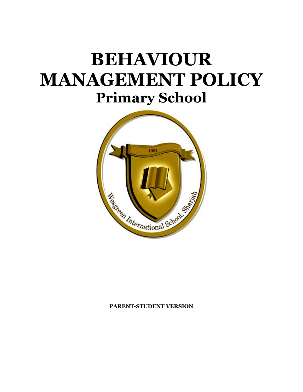# **BEHAVIOUR MANAGEMENT POLICY Primary School**



#### **PARENT-STUDENT VERSION**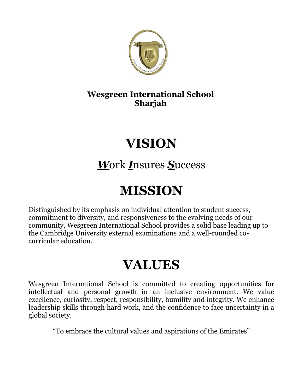

## **Wesgreen International School Sharjah**

# **VISION**

## *W*ork *I*nsures *S*uccess

# **MISSION**

Distinguished by its emphasis on individual attention to student success, commitment to diversity, and responsiveness to the evolving needs of our community, Wesgreen International School provides a solid base leading up to the Cambridge University external examinations and a well-rounded cocurricular education.

## **VALUES**

Wesgreen International School is committed to creating opportunities for intellectual and personal growth in an inclusive environment. We value excellence, curiosity, respect, responsibility, humility and integrity. We enhance leadership skills through hard work, and the confidence to face uncertainty in a global society.

"To embrace the cultural values and aspirations of the Emirates"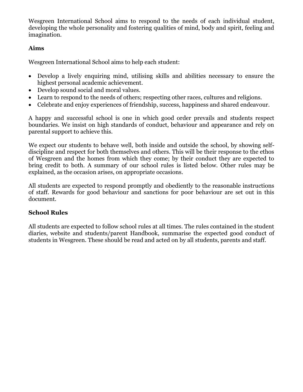Wesgreen International School aims to respond to the needs of each individual student, developing the whole personality and fostering qualities of mind, body and spirit, feeling and imagination.

#### **Aims**

Wesgreen International School aims to help each student:

- Develop a lively enquiring mind, utilising skills and abilities necessary to ensure the highest personal academic achievement.
- Develop sound social and moral values.
- Learn to respond to the needs of others; respecting other races, cultures and religions.
- Celebrate and enjoy experiences of friendship, success, happiness and shared endeavour.

A happy and successful school is one in which good order prevails and students respect boundaries. We insist on high standards of conduct, behaviour and appearance and rely on parental support to achieve this.

We expect our students to behave well, both inside and outside the school, by showing selfdiscipline and respect for both themselves and others. This will be their response to the ethos of Wesgreen and the homes from which they come; by their conduct they are expected to bring credit to both. A summary of our school rules is listed below. Other rules may be explained, as the occasion arises, on appropriate occasions.

All students are expected to respond promptly and obediently to the reasonable instructions of staff. Rewards for good behaviour and sanctions for poor behaviour are set out in this document.

#### **School Rules**

All students are expected to follow school rules at all times. The rules contained in the student diaries, website and students/parent Handbook, summarise the expected good conduct of students in Wesgreen. These should be read and acted on by all students, parents and staff.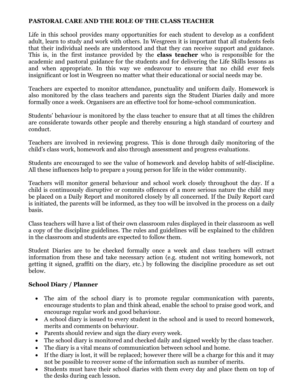#### **PASTORAL CARE AND THE ROLE OF THE CLASS TEACHER**

Life in this school provides many opportunities for each student to develop as a confident adult, learn to study and work with others. In Wesgreen it is important that all students feels that their individual needs are understood and that they can receive support and guidance. This is, in the first instance provided by the **class teacher** who is responsible for the academic and pastoral guidance for the students and for delivering the Life Skills lessons as and when appropriate*.* In this way we endeavour to ensure that no child ever feels insignificant or lost in Wesgreen no matter what their educational or social needs may be.

Teachers are expected to monitor attendance, punctuality and uniform daily. Homework is also monitored by the class teachers and parents sign the Student Diaries daily and more formally once a week. Organisers are an effective tool for home-school communication.

Students' behaviour is monitored by the class teacher to ensure that at all times the children are considerate towards other people and thereby ensuring a high standard of courtesy and conduct.

Teachers are involved in reviewing progress. This is done through daily monitoring of the child's class work, homework and also through assessment and progress evaluations.

Students are encouraged to see the value of homework and develop habits of self-discipline. All these influences help to prepare a young person for life in the wider community.

Teachers will monitor general behaviour and school work closely throughout the day. If a child is continuously disruptive or commits offences of a more serious nature the child may be placed on a Daily Report and monitored closely by all concerned. If the Daily Report card is initiated, the parents will be informed, as they too will be involved in the process on a daily basis.

Class teachers will have a list of their own classroom rules displayed in their classroom as well a copy of the discipline guidelines. The rules and guidelines will be explained to the children in the classroom and students are expected to follow them.

Student Diaries are to be checked formally once a week and class teachers will extract information from these and take necessary action (e.g. student not writing homework, not getting it signed, graffiti on the diary, etc.) by following the discipline procedure as set out below.

#### **School Diary / Planner**

- The aim of the school diary is to promote regular communication with parents, encourage students to plan and think ahead, enable the school to praise good work, and encourage regular work and good behaviour.
- A school diary is issued to every student in the school and is used to record homework, merits and comments on behaviour.
- Parents should review and sign the diary every week.
- The school diary is monitored and checked daily and signed weekly by the class teacher.
- The diary is a vital means of communication between school and home.
- If the diary is lost, it will be replaced; however there will be a charge for this and it may not be possible to recover some of the information such as number of merits.
- Students must have their school diaries with them every day and place them on top of the desks during each lesson.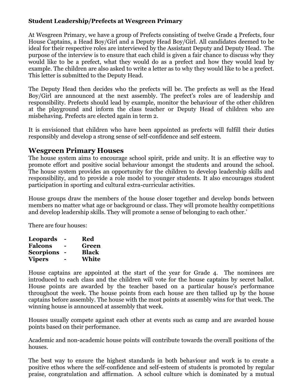#### **Student Leadership/Prefects at Wesgreen Primary**

At Wesgreen Primary, we have a group of Prefects consisting of twelve Grade 4 Prefects, four House Captains, a Head Boy/Girl and a Deputy Head Boy/Girl. All candidates deemed to be ideal for their respective roles are interviewed by the Assistant Deputy and Deputy Head. The purpose of the interview is to ensure that each child is given a fair chance to discuss why they would like to be a prefect, what they would do as a prefect and how they would lead by example. The children are also asked to write a letter as to why they would like to be a prefect. This letter is submitted to the Deputy Head.

The Deputy Head then decides who the prefects will be. The prefects as well as the Head Boy/Girl are announced at the next assembly. The prefect's roles are of leadership and responsibility. Prefects should lead by example, monitor the behaviour of the other children at the playground and inform the class teacher or Deputy Head of children who are misbehaving. Prefects are elected again in term 2.

It is envisioned that children who have been appointed as prefects will fulfill their duties responsibly and develop a strong sense of self-confidence and self esteem.

#### **Wesgreen Primary Houses**

The house system aims to encourage school spirit, pride and unity. It is an effective way to promote effort and positive social behaviour amongst the students and around the school. The house system provides an opportunity for the children to develop leadership skills and responsibility, and to provide a role model to younger students. It also encourages student participation in sporting and cultural extra-curricular activities.

House groups draw the members of the house closer together and develop bonds between members no matter what age or background or class. They will promote healthy competitions and develop leadership skills. They will promote a sense of belonging to each other.'

There are four houses:

| Leopards         |   | Red          |
|------------------|---|--------------|
| <b>Falcons</b>   |   | Green        |
| <b>Scorpions</b> |   | <b>Black</b> |
| <b>Vipers</b>    | - | White        |

House captains are appointed at the start of the year for Grade 4. The nominees are introduced to each class and the children will vote for the house captains by secret ballot. House points are awarded by the teacher based on a particular house's performance throughout the week. The house points from each house are then tallied up by the house captains before assembly. The house with the most points at assembly wins for that week. The winning house is announced at assembly that week.

Houses usually compete against each other at events such as camp and are awarded house points based on their performance.

Academic and non-academic house points will contribute towards the overall positions of the houses.

The best way to ensure the highest standards in both behaviour and work is to create a positive ethos where the self-confidence and self-esteem of students is promoted by regular praise, congratulation and affirmation. A school culture which is dominated by a mutual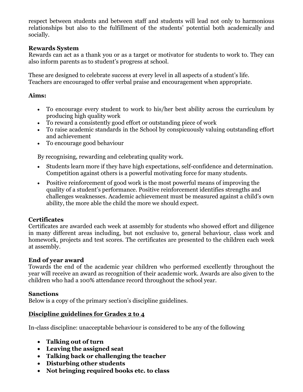respect between students and between staff and students will lead not only to harmonious relationships but also to the fulfillment of the students' potential both academically and socially.

#### **Rewards System**

Rewards can act as a thank you or as a target or motivator for students to work to. They can also inform parents as to student's progress at school.

These are designed to celebrate success at every level in all aspects of a student's life. Teachers are encouraged to offer verbal praise and encouragement when appropriate.

#### **Aims:**

- To encourage every student to work to his/her best ability across the curriculum by producing high quality work
- To reward a consistently good effort or outstanding piece of work
- To raise academic standards in the School by conspicuously valuing outstanding effort and achievement
- To encourage good behaviour

By recognising, rewarding and celebrating quality work.

- Students learn more if they have high expectations, self-confidence and determination. Competition against others is a powerful motivating force for many students.
- Positive reinforcement of good work is the most powerful means of improving the quality of a student's performance. Positive reinforcement identifies strengths and challenges weaknesses. Academic achievement must be measured against a child's own ability, the more able the child the more we should expect.

#### **Certificates**

Certificates are awarded each week at assembly for students who showed effort and diligence in many different areas including, but not exclusive to, general behaviour, class work and homework, projects and test scores. The certificates are presented to the children each week at assembly.

#### **End of year award**

Towards the end of the academic year children who performed excellently throughout the year will receive an award as recognition of their academic work. Awards are also given to the children who had a 100% attendance record throughout the school year.

#### **Sanctions**

Below is a copy of the primary section's discipline guidelines.

#### **Discipline guidelines for Grades 2 to 4**

In-class discipline: unacceptable behaviour is considered to be any of the following

- **Talking out of turn**
- **Leaving the assigned seat**
- **Talking back or challenging the teacher**
- **Disturbing other students**
- **Not bringing required books etc. to class**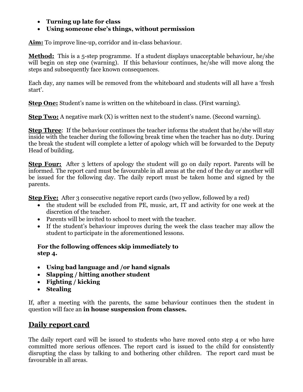- **Turning up late for class**
- **Using someone else's things, without permission**

**Aim:** To improve line-up, corridor and in-class behaviour.

**Method:** This is a 5-step programme. If a student displays unacceptable behaviour, he/she will begin on step one (warning). If this behaviour continues, he/she will move along the steps and subsequently face known consequences.

Each day, any names will be removed from the whiteboard and students will all have a 'fresh start'.

**Step One:** Student's name is written on the whiteboard in class. (First warning).

**Step Two:** A negative mark (X) is written next to the student's name. (Second warning).

**Step Three:** If the behaviour continues the teacher informs the student that he/she will stay inside with the teacher during the following break time when the teacher has no duty. During the break the student will complete a letter of apology which will be forwarded to the Deputy Head of building.

**Step Four:** After 3 letters of apology the student will go on daily report. Parents will be informed. The report card must be favourable in all areas at the end of the day or another will be issued for the following day. The daily report must be taken home and signed by the parents.

**Step Five:** After 3 consecutive negative report cards (two yellow, followed by a red)

- the student will be excluded from PE, music, art, IT and activity for one week at the discretion of the teacher.
- Parents will be invited to school to meet with the teacher.
- If the student's behaviour improves during the week the class teacher may allow the student to participate in the aforementioned lessons.

#### **For the following offences skip immediately to step 4.**

- **Using bad language and /or hand signals**
- **Slapping / hitting another student**
- **Fighting / kicking**
- **Stealing**

If, after a meeting with the parents, the same behaviour continues then the student in question will face an **in house suspension from classes.**

### **Daily report card**

The daily report card will be issued to students who have moved onto step 4 or who have committed more serious offences. The report card is issued to the child for consistently disrupting the class by talking to and bothering other children. The report card must be favourable in all areas.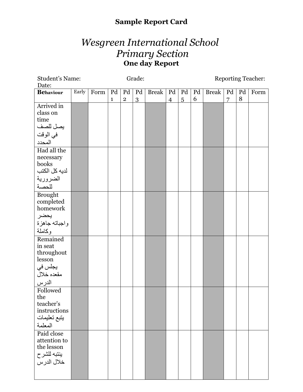## **Sample Report Card**

## *Wesgreen International School Primary Section*  **One day Report**

| Student's Name:  | Grade: |      |              |                |    |              |                | <b>Reporting Teacher:</b> |    |              |    |                |      |
|------------------|--------|------|--------------|----------------|----|--------------|----------------|---------------------------|----|--------------|----|----------------|------|
| Date:            |        |      |              |                |    |              |                |                           |    |              |    |                |      |
| <b>Behaviour</b> | Early  | Form | Pd           | Pd             | Pd | <b>Break</b> |                | $Pd$ $Pd$                 | Pd | <b>Break</b> | Pd | P <sub>d</sub> | Form |
|                  |        |      | $\mathbf{1}$ | $\overline{2}$ | 3  |              | $\overline{4}$ | $\overline{5}$            | 6  |              | 7  | 8              |      |
| Arrived in       |        |      |              |                |    |              |                |                           |    |              |    |                |      |
| class on         |        |      |              |                |    |              |                |                           |    |              |    |                |      |
| time             |        |      |              |                |    |              |                |                           |    |              |    |                |      |
| بصل للصف         |        |      |              |                |    |              |                |                           |    |              |    |                |      |
| في الوقت         |        |      |              |                |    |              |                |                           |    |              |    |                |      |
| المحدد           |        |      |              |                |    |              |                |                           |    |              |    |                |      |
| Had all the      |        |      |              |                |    |              |                |                           |    |              |    |                |      |
| necessary        |        |      |              |                |    |              |                |                           |    |              |    |                |      |
| books            |        |      |              |                |    |              |                |                           |    |              |    |                |      |
| لديه كل الكتب    |        |      |              |                |    |              |                |                           |    |              |    |                |      |
| الضرورية         |        |      |              |                |    |              |                |                           |    |              |    |                |      |
| للحصة            |        |      |              |                |    |              |                |                           |    |              |    |                |      |
| <b>Brought</b>   |        |      |              |                |    |              |                |                           |    |              |    |                |      |
| completed        |        |      |              |                |    |              |                |                           |    |              |    |                |      |
| homework         |        |      |              |                |    |              |                |                           |    |              |    |                |      |
| يحضر             |        |      |              |                |    |              |                |                           |    |              |    |                |      |
| واجباته جاهزة    |        |      |              |                |    |              |                |                           |    |              |    |                |      |
| وكاملة           |        |      |              |                |    |              |                |                           |    |              |    |                |      |
| Remained         |        |      |              |                |    |              |                |                           |    |              |    |                |      |
| in seat          |        |      |              |                |    |              |                |                           |    |              |    |                |      |
| throughout       |        |      |              |                |    |              |                |                           |    |              |    |                |      |
| lesson           |        |      |              |                |    |              |                |                           |    |              |    |                |      |
| يجلس في          |        |      |              |                |    |              |                |                           |    |              |    |                |      |
| مقعده خلال       |        |      |              |                |    |              |                |                           |    |              |    |                |      |
| الدرس            |        |      |              |                |    |              |                |                           |    |              |    |                |      |
| Followed         |        |      |              |                |    |              |                |                           |    |              |    |                |      |
| the              |        |      |              |                |    |              |                |                           |    |              |    |                |      |
| teacher's        |        |      |              |                |    |              |                |                           |    |              |    |                |      |
| instructions     |        |      |              |                |    |              |                |                           |    |              |    |                |      |
| يتبع تعليمات     |        |      |              |                |    |              |                |                           |    |              |    |                |      |
| المعلمة          |        |      |              |                |    |              |                |                           |    |              |    |                |      |
| Paid close       |        |      |              |                |    |              |                |                           |    |              |    |                |      |
| attention to     |        |      |              |                |    |              |                |                           |    |              |    |                |      |
| the lesson       |        |      |              |                |    |              |                |                           |    |              |    |                |      |
| بنتبه للشرح      |        |      |              |                |    |              |                |                           |    |              |    |                |      |
| خلال الدرس       |        |      |              |                |    |              |                |                           |    |              |    |                |      |
|                  |        |      |              |                |    |              |                |                           |    |              |    |                |      |
|                  |        |      |              |                |    |              |                |                           |    |              |    |                |      |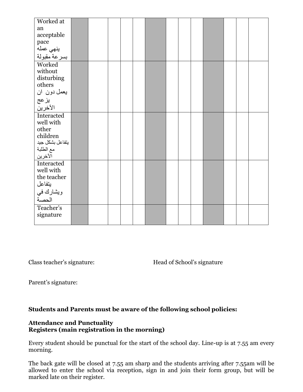| Worked at                         |  |  |  |  |  |  |  |
|-----------------------------------|--|--|--|--|--|--|--|
| an                                |  |  |  |  |  |  |  |
| acceptable                        |  |  |  |  |  |  |  |
|                                   |  |  |  |  |  |  |  |
|                                   |  |  |  |  |  |  |  |
| pace<br>ينهي عمله<br>بسرعة مقبولة |  |  |  |  |  |  |  |
| Worked                            |  |  |  |  |  |  |  |
| without                           |  |  |  |  |  |  |  |
| disturbing                        |  |  |  |  |  |  |  |
| others                            |  |  |  |  |  |  |  |
| يعمل دون ان                       |  |  |  |  |  |  |  |
| يزعج                              |  |  |  |  |  |  |  |
| الأخرين                           |  |  |  |  |  |  |  |
| Interacted                        |  |  |  |  |  |  |  |
| well with                         |  |  |  |  |  |  |  |
| other                             |  |  |  |  |  |  |  |
| children                          |  |  |  |  |  |  |  |
| يتفاعل بشكل جيد                   |  |  |  |  |  |  |  |
| مع الطلبة                         |  |  |  |  |  |  |  |
| الآخرين                           |  |  |  |  |  |  |  |
| Interacted                        |  |  |  |  |  |  |  |
| well with                         |  |  |  |  |  |  |  |
| the teacher                       |  |  |  |  |  |  |  |
| يتفاعل                            |  |  |  |  |  |  |  |
| ويشارك في<br>الحصة                |  |  |  |  |  |  |  |
|                                   |  |  |  |  |  |  |  |
| Teacher's                         |  |  |  |  |  |  |  |
| signature                         |  |  |  |  |  |  |  |
|                                   |  |  |  |  |  |  |  |

Class teacher's signature: Head of School's signature

Parent's signature:

#### **Students and Parents must be aware of the following school policies:**

#### **Attendance and Punctuality Registers (main registration in the morning)**

Every student should be punctual for the start of the school day. Line-up is at 7.55 am every morning.

The back gate will be closed at 7.55 am sharp and the students arriving after 7.55am will be allowed to enter the school via reception, sign in and join their form group, but will be marked late on their register.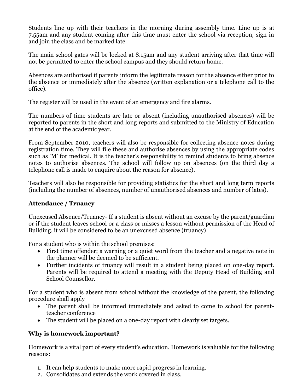Students line up with their teachers in the morning during assembly time. Line up is at 7.55am and any student coming after this time must enter the school via reception, sign in and join the class and be marked late.

The main school gates will be locked at 8.15am and any student arriving after that time will not be permitted to enter the school campus and they should return home.

Absences are authorised if parents inform the legitimate reason for the absence either prior to the absence or immediately after the absence (written explanation or a telephone call to the office).

The register will be used in the event of an emergency and fire alarms.

The numbers of time students are late or absent (including unauthorised absences) will be reported to parents in the short and long reports and submitted to the Ministry of Education at the end of the academic year.

From September 2010, teachers will also be responsible for collecting absence notes during registration time. They will file these and authorise absences by using the appropriate codes such as 'M' for medical. It is the teacher's responsibility to remind students to bring absence notes to authorise absences. The school will follow up on absences (on the third day a telephone call is made to enquire about the reason for absence).

Teachers will also be responsible for providing statistics for the short and long term reports (including the number of absences, number of unauthorised absences and number of lates).

#### **Attendance / Truancy**

Unexcused Absence/Truancy- If a student is absent without an excuse by the parent/guardian or if the student leaves school or a class or misses a lesson without permission of the Head of Building, it will be considered to be an unexcused absence (truancy)

For a student who is within the school premises:

- First time offender; a warning or a quiet word from the teacher and a negative note in the planner will be deemed to be sufficient.
- Further incidents of truancy will result in a student being placed on one-day report. Parents will be required to attend a meeting with the Deputy Head of Building and School Counsellor.

For a student who is absent from school without the knowledge of the parent, the following procedure shall apply

- The parent shall be informed immediately and asked to come to school for parentteacher conference
- The student will be placed on a one-day report with clearly set targets.

#### **Why is homework important?**

Homework is a vital part of every student's education. Homework is valuable for the following reasons:

- 1. It can help students to make more rapid progress in learning.
- 2. Consolidates and extends the work covered in class.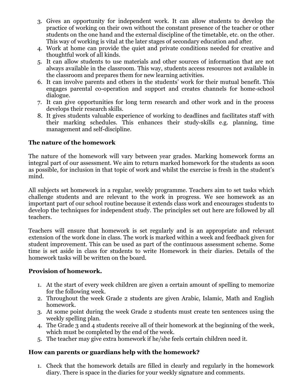- 3. Gives an opportunity for independent work. It can allow students to develop the practice of working on their own without the constant presence of the teacher or other students on the one hand and the external discipline of the timetable, etc. on the other. This way of working is vital at the later stages of secondary education and after.
- 4. Work at home can provide the quiet and private conditions needed for creative and thoughtful work of all kinds.
- 5. It can allow students to use materials and other sources of information that are not always available in the classroom. This way, students access resources not available in the classroom and prepares them for new learning activities.
- 6. It can involve parents and others in the students' work for their mutual benefit. This engages parental co-operation and support and creates channels for home-school dialogue.
- 7. It can give opportunities for long term research and other work and in the process develops their research skills.
- 8. It gives students valuable experience of working to deadlines and facilitates staff with their marking schedules. This enhances their study-skills e.g. planning, time management and self-discipline.

#### **The nature of the homework**

The nature of the homework will vary between year grades. Marking homework forms an integral part of our assessment. We aim to return marked homework for the students as soon as possible, for inclusion in that topic of work and whilst the exercise is fresh in the student's mind.

All subjects set homework in a regular, weekly programme. Teachers aim to set tasks which challenge students and are relevant to the work in progress. We see homework as an important part of our school routine because it extends class work and encourages students to develop the techniques for independent study. The principles set out here are followed by all teachers.

Teachers will ensure that homework is set regularly and is an appropriate and relevant extension of the work done in class. The work is marked within a week and feedback given for student improvement. This can be used as part of the continuous assessment scheme. Some time is set aside in class for students to write Homework in their diaries. Details of the homework tasks will be written on the board.

#### **Provision of homework.**

- 1. At the start of every week children are given a certain amount of spelling to memorize for the following week.
- 2. Throughout the week Grade 2 students are given Arabic, Islamic, Math and English homework.
- 3. At some point during the week Grade 2 students must create ten sentences using the weekly spelling plan.
- 4. The Grade 3 and 4 students receive all of their homework at the beginning of the week, which must be completed by the end of the week.
- 5. The teacher may give extra homework if he/she feels certain children need it.

#### **How can parents or guardians help with the homework?**

1. Check that the homework details are filled in clearly and regularly in the homework diary. There is space in the diaries for your weekly signature and comments.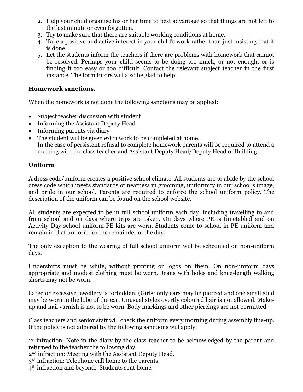- 2. Help your child organise his or her time to best advantage so that things are not left to the last minute or even forgotten.
- 3. Try to make sure that there are suitable working conditions at home.
- 4. Take a positive and active interest in your child's work rather than just insisting that it is done.
- 5. Let the students inform the teachers if there are problems with homework that cannot be resolved. Perhaps your child seems to be doing too much, or not enough, or is finding it too easy or too difficult. Contact the relevant subject teacher in the first instance. The form tutors will also be glad to help.

#### **Homework sanctions.**

When the homework is not done the following sanctions may be applied:

- Subject teacher discussion with student
- Informing the Assistant Deputy Head
- Informing parents via diary
- The student will be given extra work to be completed at home. In the case of persistent refusal to complete homework parents will be required to attend a meeting with the class teacher and Assistant Deputy Head/Deputy Head of Building.

#### **Uniform**

A dress code/uniform creates a positive school climate. All students are to abide by the school dress code which meets standards of neatness in grooming, uniformity in our school's image, and pride in our school. Parents are required to enforce the school uniform policy. The description of the uniform can be found on the school website.

All students are expected to be in full school uniform each day, including travelling to and from school and on days where trips are taken. On days where PE is timetabled and on Activity Day school uniform PE kits are worn. Students come to school in PE uniform and remain in that uniform for the remainder of the day.

The only exception to the wearing of full school uniform will be scheduled on non-uniform days.

Undershirts must be white, without printing or logos on them. On non-uniform days appropriate and modest clothing must be worn. Jeans with holes and knee-length walking shorts may not be worn.

Large or excessive jewellery is forbidden. (Girls: only ears may be pierced and one small stud may be worn in the lobe of the ear. Unusual styles overtly coloured hair is not allowed. Makeup and nail varnish is not to be worn. Body markings and other piercings are not permitted.

Class teachers and senior staff will check the uniform every morning during assembly line-up. If the policy is not adhered to, the following sanctions will apply:

1<sup>st</sup> infraction: Note in the diary by the class teacher to be acknowledged by the parent and returned to the teacher the following day.

2nd infraction: Meeting with the Assistant Deputy Head.

3<sup>rd</sup> infraction: Telephone call home to the parents.

4th infraction and beyond: Students sent home.